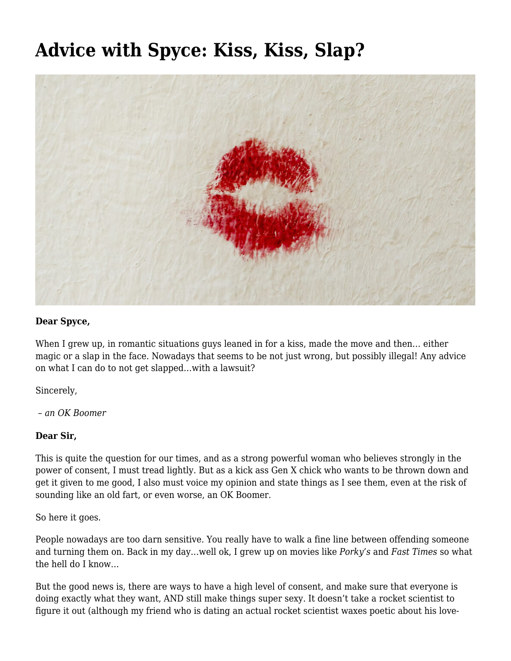# **[Advice with Spyce: Kiss, Kiss, Slap?](https://motifri.com/advice-with-spyce-kiss-kiss-slap/)**



#### **Dear Spyce,**

When I grew up, in romantic situations guys leaned in for a kiss, made the move and then… either magic or a slap in the face. Nowadays that seems to be not just wrong, but possibly illegal! Any advice on what I can do to not get slapped…with a lawsuit?

Sincerely,

 *– an OK Boomer*

### **Dear Sir,**

This is quite the question for our times, and as a strong powerful woman who believes strongly in the power of consent, I must tread lightly. But as a kick ass Gen X chick who wants to be thrown down and get it given to me good, I also must voice my opinion and state things as I see them, even at the risk of sounding like an old fart, or even worse, an OK Boomer.

So here it goes.

People nowadays are too darn sensitive. You really have to walk a fine line between offending someone and turning them on. Back in my day…well ok, I grew up on movies like *Porky's* and *Fast Times* so what the hell do I know…

But the good news is, there are ways to have a high level of consent, and make sure that everyone is doing exactly what they want, AND still make things super sexy. It doesn't take a rocket scientist to figure it out (although my friend who is dating an actual rocket scientist waxes poetic about his love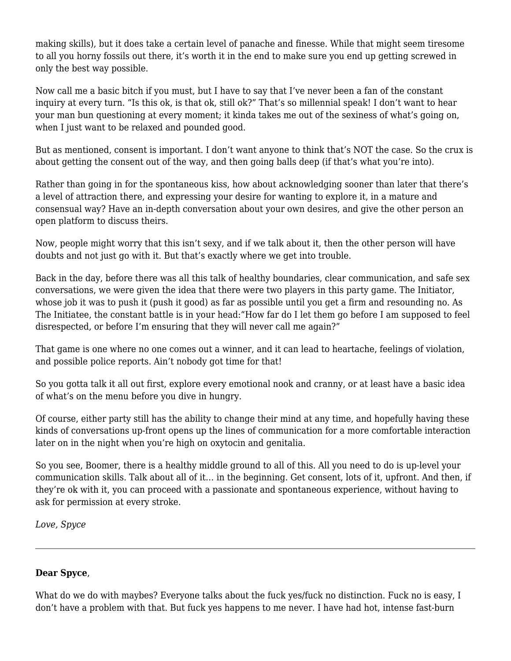making skills), but it does take a certain level of panache and finesse. While that might seem tiresome to all you horny fossils out there, it's worth it in the end to make sure you end up getting screwed in only the best way possible.

Now call me a basic bitch if you must, but I have to say that I've never been a fan of the constant inquiry at every turn. "Is this ok, is that ok, still ok?" That's so millennial speak! I don't want to hear your man bun questioning at every moment; it kinda takes me out of the sexiness of what's going on, when I just want to be relaxed and pounded good.

But as mentioned, consent is important. I don't want anyone to think that's NOT the case. So the crux is about getting the consent out of the way, and then going balls deep (if that's what you're into).

Rather than going in for the spontaneous kiss, how about acknowledging sooner than later that there's a level of attraction there, and expressing your desire for wanting to explore it, in a mature and consensual way? Have an in-depth conversation about your own desires, and give the other person an open platform to discuss theirs.

Now, people might worry that this isn't sexy, and if we talk about it, then the other person will have doubts and not just go with it. But that's exactly where we get into trouble.

Back in the day, before there was all this talk of healthy boundaries, clear communication, and safe sex conversations, we were given the idea that there were two players in this party game. The Initiator, whose job it was to push it (push it good) as far as possible until you get a firm and resounding no. As The Initiatee, the constant battle is in your head:"How far do I let them go before I am supposed to feel disrespected, or before I'm ensuring that they will never call me again?"

That game is one where no one comes out a winner, and it can lead to heartache, feelings of violation, and possible police reports. Ain't nobody got time for that!

So you gotta talk it all out first, explore every emotional nook and cranny, or at least have a basic idea of what's on the menu before you dive in hungry.

Of course, either party still has the ability to change their mind at any time, and hopefully having these kinds of conversations up-front opens up the lines of communication for a more comfortable interaction later on in the night when you're high on oxytocin and genitalia.

So you see, Boomer, there is a healthy middle ground to all of this. All you need to do is up-level your communication skills. Talk about all of it… in the beginning. Get consent, lots of it, upfront. And then, if they're ok with it, you can proceed with a passionate and spontaneous experience, without having to ask for permission at every stroke.

*Love, Spyce* 

### **Dear Spyce**,

What do we do with maybes? Everyone talks about the fuck yes/fuck no distinction. Fuck no is easy, I don't have a problem with that. But fuck yes happens to me never. I have had hot, intense fast-burn